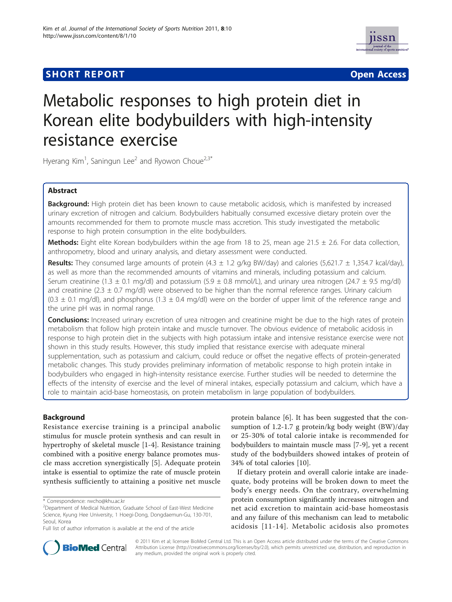# **SHORT REPORT CONTRACT CONTRACT CONTRACT CONTRACT CONTRACT CONTRACT CONTRACT CONTRACT CONTRACT CONTRACT CONTRACT CONTRACT CONTRACT CONTRACT CONTRACT CONTRACT CONTRACT CONTRACT CONTRACT CONTRACT CONTRACT CONTRACT CONTRACT C**



# Metabolic responses to high protein diet in Korean elite bodybuilders with high-intensity resistance exercise

Hyerang Kim<sup>1</sup>, Saningun Lee<sup>2</sup> and Ryowon Choue<sup>2,3\*</sup>

# Abstract

Background: High protein diet has been known to cause metabolic acidosis, which is manifested by increased urinary excretion of nitrogen and calcium. Bodybuilders habitually consumed excessive dietary protein over the amounts recommended for them to promote muscle mass accretion. This study investigated the metabolic response to high protein consumption in the elite bodybuilders.

Methods: Eight elite Korean bodybuilders within the age from 18 to 25, mean age 21.5  $\pm$  2.6. For data collection, anthropometry, blood and urinary analysis, and dietary assessment were conducted.

Results: They consumed large amounts of protein  $(4.3 \pm 1.2 \text{ g/kg BW/day})$  and calories  $(5,621.7 \pm 1,354.7 \text{ kcal/day})$ , as well as more than the recommended amounts of vitamins and minerals, including potassium and calcium. Serum creatinine (1.3  $\pm$  0.1 mg/dl) and potassium (5.9  $\pm$  0.8 mmol/L), and urinary urea nitrogen (24.7  $\pm$  9.5 mg/dl) and creatinine (2.3  $\pm$  0.7 mg/dl) were observed to be higher than the normal reference ranges. Urinary calcium  $(0.3 \pm 0.1 \text{ mg/d})$ , and phosphorus  $(1.3 \pm 0.4 \text{ mg/d})$  were on the border of upper limit of the reference range and the urine pH was in normal range.

Conclusions: Increased urinary excretion of urea nitrogen and creatinine might be due to the high rates of protein metabolism that follow high protein intake and muscle turnover. The obvious evidence of metabolic acidosis in response to high protein diet in the subjects with high potassium intake and intensive resistance exercise were not shown in this study results. However, this study implied that resistance exercise with adequate mineral supplementation, such as potassium and calcium, could reduce or offset the negative effects of protein-generated metabolic changes. This study provides preliminary information of metabolic response to high protein intake in bodybuilders who engaged in high-intensity resistance exercise. Further studies will be needed to determine the effects of the intensity of exercise and the level of mineral intakes, especially potassium and calcium, which have a role to maintain acid-base homeostasis, on protein metabolism in large population of bodybuilders.

# Background

Resistance exercise training is a principal anabolic stimulus for muscle protein synthesis and can result in hypertrophy of skeletal muscle [\[1](#page-4-0)-[4\]](#page-4-0). Resistance training combined with a positive energy balance promotes muscle mass accretion synergistically [[5](#page-4-0)]. Adequate protein intake is essential to optimize the rate of muscle protein synthesis sufficiently to attaining a positive net muscle

\* Correspondence: [rwcho@khu.ac.kr](mailto:rwcho@khu.ac.kr)

protein balance [[6](#page-4-0)]. It has been suggested that the consumption of 1.2-1.7 g protein/kg body weight (BW)/day or 25-30% of total calorie intake is recommended for bodybuilders to maintain muscle mass [[7-9](#page-4-0)], yet a recent study of the bodybuilders showed intakes of protein of 34% of total calories [\[10](#page-4-0)].

If dietary protein and overall calorie intake are inadequate, body proteins will be broken down to meet the body's energy needs. On the contrary, overwhelming protein consumption significantly increases nitrogen and net acid excretion to maintain acid-base homeostasis and any failure of this mechanism can lead to metabolic acidosis [[11](#page-4-0)-[14\]](#page-4-0). Metabolic acidosis also promotes



© 2011 Kim et al; licensee BioMed Central Ltd. This is an Open Access article distributed under the terms of the Creative Commons Attribution License [\(http://creativecommons.org/licenses/by/2.0](http://creativecommons.org/licenses/by/2.0)), which permits unrestricted use, distribution, and reproduction in any medium, provided the original work is properly cited.

<sup>&</sup>lt;sup>2</sup> Department of Medical Nutrition, Graduate School of East-West Medicine Science, Kyung Hee University, 1 Hoegi-Dong, Dongdaemun-Gu, 130-701, Seoul, Korea

Full list of author information is available at the end of the article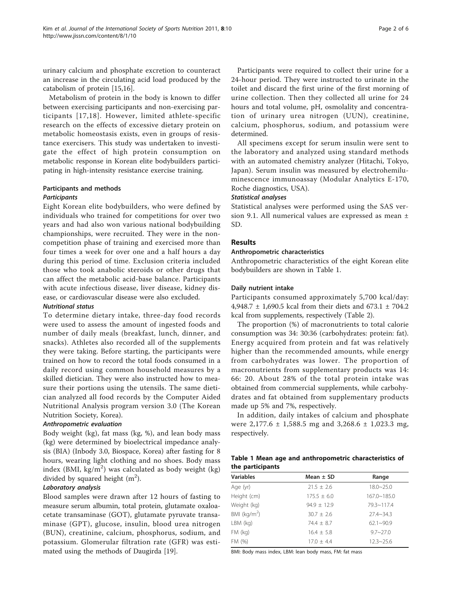urinary calcium and phosphate excretion to counteract an increase in the circulating acid load produced by the catabolism of protein [\[15,16](#page-5-0)].

Metabolism of protein in the body is known to differ between exercising participants and non-exercising participants [[17,18\]](#page-5-0). However, limited athlete-specific research on the effects of excessive dietary protein on metabolic homeostasis exists, even in groups of resistance exercisers. This study was undertaken to investigate the effect of high protein consumption on metabolic response in Korean elite bodybuilders participating in high-intensity resistance exercise training.

# Participants and methods

### **Participants**

Eight Korean elite bodybuilders, who were defined by individuals who trained for competitions for over two years and had also won various national bodybuilding championships, were recruited. They were in the noncompetition phase of training and exercised more than four times a week for over one and a half hours a day during this period of time. Exclusion criteria included those who took anabolic steroids or other drugs that can affect the metabolic acid-base balance. Participants with acute infectious disease, liver disease, kidney disease, or cardiovascular disease were also excluded.

# Nutritional status

To determine dietary intake, three-day food records were used to assess the amount of ingested foods and number of daily meals (breakfast, lunch, dinner, and snacks). Athletes also recorded all of the supplements they were taking. Before starting, the participants were trained on how to record the total foods consumed in a daily record using common household measures by a skilled dietician. They were also instructed how to measure their portions using the utensils. The same dietician analyzed all food records by the Computer Aided Nutritional Analysis program version 3.0 (The Korean Nutrition Society, Korea).

#### Anthropometric evaluation

Body weight (kg), fat mass (kg, %), and lean body mass (kg) were determined by bioelectrical impedance analysis (BIA) (Inbody 3.0, Biospace, Korea) after fasting for 8 hours, wearing light clothing and no shoes. Body mass index (BMI, kg/m<sup>2</sup>) was calculated as body weight (kg) divided by squared height  $(m^2)$ .

# Laboratory analysis

Blood samples were drawn after 12 hours of fasting to measure serum albumin, total protein, glutamate oxaloacetate transaminase (GOT), glutamate pyruvate transaminase (GPT), glucose, insulin, blood urea nitrogen (BUN), creatinine, calcium, phosphorus, sodium, and potassium. Glomerular filtration rate (GFR) was estimated using the methods of Daugirda [\[19\]](#page-5-0).

Participants were required to collect their urine for a 24-hour period. They were instructed to urinate in the toilet and discard the first urine of the first morning of urine collection. Then they collected all urine for 24 hours and total volume, pH, osmolality and concentration of urinary urea nitrogen (UUN), creatinine, calcium, phosphorus, sodium, and potassium were determined.

All specimens except for serum insulin were sent to the laboratory and analyzed using standard methods with an automated chemistry analyzer (Hitachi, Tokyo, Japan). Serum insulin was measured by electrohemiluminescence immunoassay (Modular Analytics E-170, Roche diagnostics, USA).

#### Statistical analyses

Statistical analyses were performed using the SAS version 9.1. All numerical values are expressed as mean ± SD.

# Results

#### Anthropometric characteristics

Anthropometric characteristics of the eight Korean elite bodybuilders are shown in Table 1.

#### Daily nutrient intake

Participants consumed approximately 5,700 kcal/day: 4,948.7 ± 1,690.5 kcal from their diets and 673.1 ± 704.2 kcal from supplements, respectively (Table [2](#page-2-0)).

The proportion (%) of macronutrients to total calorie consumption was 34: 30:36 (carbohydrates: protein: fat). Energy acquired from protein and fat was relatively higher than the recommended amounts, while energy from carbohydrates was lower. The proportion of macronutrients from supplementary products was 14: 66: 20. About 28% of the total protein intake was obtained from commercial supplements, while carbohydrates and fat obtained from supplementary products made up 5% and 7%, respectively.

In addition, daily intakes of calcium and phosphate were 2,177.6 ± 1,588.5 mg and 3,268.6 ± 1,023.3 mg, respectively.

|                  |  | Table 1 Mean age and anthropometric characteristics of |
|------------------|--|--------------------------------------------------------|
| the participants |  |                                                        |

| <b>Variables</b> | Mean $\pm$ SD   | Range             |
|------------------|-----------------|-------------------|
| Age (yr)         | $21.5 \pm 2.6$  | $18.0 - 25.0$     |
| Height (cm)      | $175.5 \pm 6.0$ | $167.0 - 185.0$   |
| Weight (kg)      | $94.9 + 12.9$   | $79.3 \sim 117.4$ |
| BMI ( $kg/m2$ )  | $30.7 + 2.6$    | $27.4 - 34.3$     |
| $LBM$ (kg)       | $74.4 + 8.7$    | $62.1 - 90.9$     |
| $FM$ ( $kq$ )    | $16.4 + 5.8$    | $9.7 - 27.0$      |
| FM (%)           | $17.0 + 4.4$    | $12.3 - 25.6$     |

BMI: Body mass index, LBM: lean body mass, FM: fat mass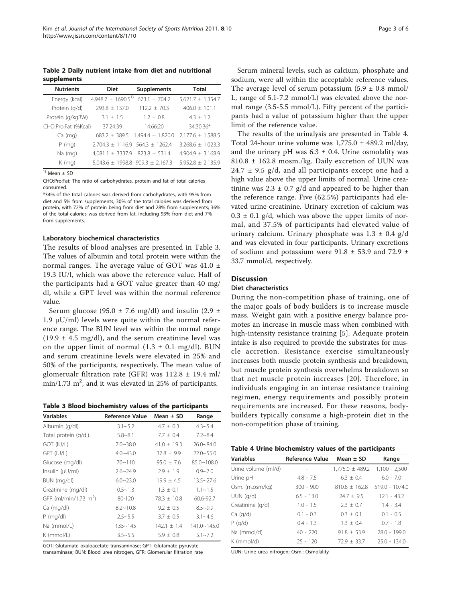<span id="page-2-0"></span>Table 2 Daily nutrient intake from diet and nutritional supplements

| <b>Nutrients</b>    | <b>Diet</b>                              | Supplements           | <b>Total</b>          |
|---------------------|------------------------------------------|-----------------------|-----------------------|
| Energy (kcal)       | $4,948.7 \pm 1690.5$ <sup>1)</sup>       | $673.1 \pm 704.2$     | $5,621.7 \pm 1,354.7$ |
| Protein (q/d)       | $793.8 + 137.0$                          | $112.2 + 70.3$        | $406.0 + 101.1$       |
| Protein (g/kgBW)    | $3.1 + 1.5$                              | $1.2 + 0.8$           | $4.3 \pm 1.2$         |
| CHO:Pro:Fat (%Kcal) | 37:24:39                                 | 14:66:20              | 34:30:36*             |
| Ca (mg)             | $683.2 \pm 389.5$                        | $1,494.4 \pm 1,820.0$ | $2,177.6 \pm 1,588.5$ |
| $P$ (mg)            | $2,704.3 \pm 1116.9$ 564.3 $\pm$ 1262.4  |                       | $3,268.6 \pm 1,023.3$ |
| Na (mg)             | $4,081.1 \pm 3337.9$ 823.8 $\pm$ 531.4   |                       | $4,904.9 \pm 3,168.9$ |
| $K$ (mg)            | $5,043.6 \pm 1998.8$ 909.3 $\pm$ 2,167.3 |                       | $5,952.8 \pm 2,135.9$ |

 $1)$  Mean  $\pm$  SD

CHO:Pro:Fat: The ratio of carbohydrates, protein and fat of total calories consumed.

\*34% of the total calories was derived from carbohydrates, with 95% from diet and 5% from supplements; 30% of the total calories was derived from protein, with 72% of protein being from diet and 28% from supplements; 36% of the total calories was derived from fat, including 93% from diet and 7% from supplements.

#### Laboratory biochemical characteristics

The results of blood analyses are presented in Table 3. The values of albumin and total protein were within the normal ranges. The average value of GOT was 41.0 ± 19.3 IU/l, which was above the reference value. Half of the participants had a GOT value greater than 40 mg/ dl, while a GPT level was within the normal reference value.

Serum glucose (95.0  $\pm$  7.6 mg/dl) and insulin (2.9  $\pm$ 1.9  $μU/ml$ ) levels were quite within the normal reference range. The BUN level was within the normal range  $(19.9 \pm 4.5 \text{ mg/dl})$ , and the serum creatinine level was on the upper limit of normal  $(1.3 \pm 0.1 \text{ mg/dl})$ . BUN and serum creatinine levels were elevated in 25% and 50% of the participants, respectively. The mean value of glomerualr filtration rate (GFR) was  $112.8 \pm 19.4$  ml/  $\min/1.73$  m<sup>2</sup>, and it was elevated in 25% of participants.

|  | Table 3 Blood biochemistry values of the participants |  |  |  |
|--|-------------------------------------------------------|--|--|--|
|--|-------------------------------------------------------|--|--|--|

| <b>Variables</b>                  | Reference Value | Mean $\pm$ SD | Range                |
|-----------------------------------|-----------------|---------------|----------------------|
| Albumin (g/dl)                    | $3.1 - 5.2$     | $4.7 \pm 0.3$ | $4.3 - 5.4$          |
| Total protein (g/dl)              | $5.8 - 8.1$     | $7.7 + 0.4$   | $7.2 - 8.4$          |
| GOT (IU/L)                        | $7.0 - 38.0$    | $41.0 + 19.3$ | $26.0 - 84.0$        |
| GPT (IU/L)                        | $4.0 - 43.0$    | $37.8 + 9.9$  | $22.0 - 55.0$        |
| Glucose (mg/dl)                   | $70 - 110$      | $95.0 + 7.6$  | $85.0 - 108.0$       |
| Insulin (µU/ml)                   | $2.6 - 24.9$    | $2.9 + 1.9$   | $0.9 - 7.0$          |
| BUN (mg/dl)                       | $6.0 - 23.0$    | $19.9 + 4.5$  | $13.5 - 27.6$        |
| Creatinine (mg/dl)                | $0.5 - 1.3$     | $1.3 \pm 0.1$ | $1.1 \sim 1.5$       |
| GFR (ml/min/1.73 m <sup>2</sup> ) | 80-120          | $78.3 + 10.8$ | 60.6-92.7            |
| Ca (mg/dl)                        | $8.2 - 10.8$    | $9.2 + 0.5$   | $8.5 - 9.9$          |
| $P$ (mg/dl)                       | $2.5 - 5.5$     | $3.7 + 0.5$   | $3.1 - 4.6$          |
| Na (mmol/L)                       | $135 - 145$     | $142.1 + 1.4$ | $141.0 \times 145.0$ |
| $K$ (mmol/L)                      | $3.5 - 5.5$     | $5.9 + 0.8$   | $5.1 - 7.2$          |

GOT: Glutamate oxaloacetate transaminase; GPT: Glutamate pyruvate transaminase; BUN: Blood urea nitrogen, GFR: Glomerular filtration rate

Serum mineral levels, such as calcium, phosphate and sodium, were all within the acceptable reference values. The average level of serum potassium  $(5.9 \pm 0.8 \text{ mmol})$ L, range of 5.1-7.2 mmol/L) was elevated above the normal range (3.5-5.5 mmol/L). Fifty percent of the participants had a value of potassium higher than the upper limit of the reference value.

The results of the urinalysis are presented in Table 4. Total 24-hour urine volume was  $1,775.0 \pm 489.2$  ml/day, and the urinary pH was  $6.3 \pm 0.4$ . Urine osmolality was 810.8 ± 162.8 mosm./kg. Daily excretion of UUN was  $24.7 \pm 9.5$  g/d, and all participants except one had a high value above the upper limits of normal. Urine creatinine was  $2.3 \pm 0.7$  g/d and appeared to be higher than the reference range. Five (62.5%) participants had elevated urine creatinine. Urinary excretion of calcium was  $0.3 \pm 0.1$  g/d, which was above the upper limits of normal, and 37.5% of participants had elevated value of urinary calcium. Urinary phosphate was  $1.3 \pm 0.4$  g/d and was elevated in four participants. Urinary excretions of sodium and potassium were 91.8  $\pm$  53.9 and 72.9  $\pm$ 33.7 mmol/d, respectively.

#### **Discussion**

#### Diet characteristics

During the non-competition phase of training, one of the major goals of body builders is to increase muscle mass. Weight gain with a positive energy balance promotes an increase in muscle mass when combined with high-intensity resistance training [[5\]](#page-4-0). Adequate protein intake is also required to provide the substrates for muscle accretion. Resistance exercise simultaneously increases both muscle protein synthesis and breakdown, but muscle protein synthesis overwhelms breakdown so that net muscle protein increases [\[20\]](#page-5-0). Therefore, in individuals engaging in an intense resistance training regimen, energy requirements and possibly protein requirements are increased. For these reasons, bodybuilders typically consume a high-protein diet in the non-competition phase of training.

| Table 4 Urine biochemistry values of the participants |  |  |
|-------------------------------------------------------|--|--|
|-------------------------------------------------------|--|--|

| <b>Variables</b>    | <b>Reference Value</b> | Mean $\pm$ SD       | Range            |
|---------------------|------------------------|---------------------|------------------|
| Urine volume (ml/d) |                        | $1,775.0 \pm 489.2$ | $1,100 - 2,500$  |
| Urine pH            | $4.8 - 7.5$            | $6.3 + 0.4$         | $6.0 - 7.0$      |
| Osm. (m.osm/kg)     | $300 - 900$            | $810.8 + 162.8$     | $519.0 - 1074.0$ |
| $UUN$ ( $q/d$ )     | $6.5 - 13.0$           | $74.7 + 9.5$        | $12.1 - 43.2$    |
| Creatinine (g/d)    | $1.0 - 1.5$            | $2.3 + 0.7$         | $1.4 - 3.4$      |
| Ca (q/d)            | $0.1 - 0.3$            | $0.3 + 0.1$         | $0.1 - 0.5$      |
| P(q/d)              | $0.4 - 1.3$            | $1.3 + 0.4$         | $0.7 - 1.8$      |
| Na (mmol/d)         | $40 - 220$             | $91.8 \pm 53.9$     | 28.0 - 199.0     |
| K (mmol/d)          | $25 - 120$             | $72.9 + 33.7$       | $25.0 - 134.0$   |

UUN: Urine urea nitrogen; Osm.: Osmolality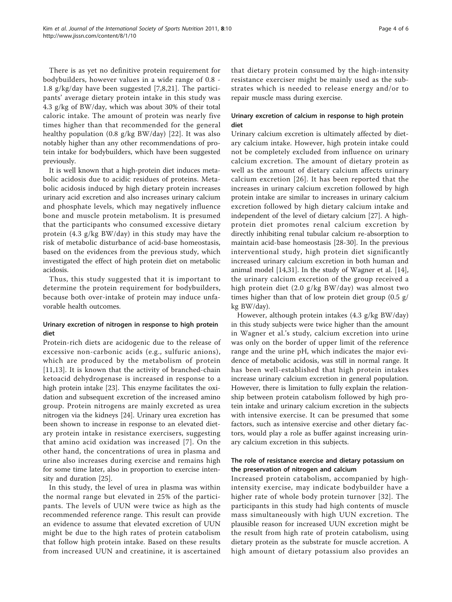There is as yet no definitive protein requirement for bodybuilders, however values in a wide range of 0.8 - 1.8 g/kg/day have been suggested [[7,8](#page-4-0),[21\]](#page-5-0). The participants' average dietary protein intake in this study was 4.3 g/kg of BW/day, which was about 30% of their total caloric intake. The amount of protein was nearly five times higher than that recommended for the general healthy population (0.8 g/kg BW/day) [[22\]](#page-5-0). It was also notably higher than any other recommendations of protein intake for bodybuilders, which have been suggested previously.

It is well known that a high-protein diet induces metabolic acidosis due to acidic residues of proteins. Metabolic acidosis induced by high dietary protein increases urinary acid excretion and also increases urinary calcium and phosphate levels, which may negatively influence bone and muscle protein metabolism. It is presumed that the participants who consumed excessive dietary protein (4.3 g/kg BW/day) in this study may have the risk of metabolic disturbance of acid-base homeostasis, based on the evidences from the previous study, which investigated the effect of high protein diet on metabolic acidosis.

Thus, this study suggested that it is important to determine the protein requirement for bodybuilders, because both over-intake of protein may induce unfavorable health outcomes.

# Urinary excretion of nitrogen in response to high protein diet

Protein-rich diets are acidogenic due to the release of excessive non-carbonic acids (e.g., sulfuric anions), which are produced by the metabolism of protein [[11,13](#page-4-0)]. It is known that the activity of branched-chain ketoacid dehydrogenase is increased in response to a high protein intake [\[23\]](#page-5-0). This enzyme facilitates the oxidation and subsequent excretion of the increased amino group. Protein nitrogens are mainly excreted as urea nitrogen via the kidneys [\[24\]](#page-5-0). Urinary urea excretion has been shown to increase in response to an elevated dietary protein intake in resistance exercisers, suggesting that amino acid oxidation was increased [[7\]](#page-4-0). On the other hand, the concentrations of urea in plasma and urine also increases during exercise and remains high for some time later, also in proportion to exercise intensity and duration [\[25\]](#page-5-0).

In this study, the level of urea in plasma was within the normal range but elevated in 25% of the participants. The levels of UUN were twice as high as the recommended reference range. This result can provide an evidence to assume that elevated excretion of UUN might be due to the high rates of protein catabolism that follow high protein intake. Based on these results from increased UUN and creatinine, it is ascertained

that dietary protein consumed by the high-intensity resistance exerciser might be mainly used as the substrates which is needed to release energy and/or to repair muscle mass during exercise.

# Urinary excretion of calcium in response to high protein diet

Urinary calcium excretion is ultimately affected by dietary calcium intake. However, high protein intake could not be completely excluded from influence on urinary calcium excretion. The amount of dietary protein as well as the amount of dietary calcium affects urinary calcium excretion [[26\]](#page-5-0). It has been reported that the increases in urinary calcium excretion followed by high protein intake are similar to increases in urinary calcium excretion followed by high dietary calcium intake and independent of the level of dietary calcium [\[27](#page-5-0)]. A highprotein diet promotes renal calcium excretion by directly inhibiting renal tubular calcium re-absorption to maintain acid-base homeostasis [[28-30](#page-5-0)]. In the previous interventional study, high protein diet significantly increased urinary calcium excretion in both human and animal model [\[14,](#page-4-0)[31\]](#page-5-0). In the study of Wagner et al. [[14](#page-4-0)], the urinary calcium excretion of the group received a high protein diet (2.0 g/kg BW/day) was almost two times higher than that of low protein diet group (0.5 g/ kg BW/day).

However, although protein intakes (4.3 g/kg BW/day) in this study subjects were twice higher than the amount in Wagner et al.'s study, calcium excretion into urine was only on the border of upper limit of the reference range and the urine pH, which indicates the major evidence of metabolic acidosis, was still in normal range. It has been well-established that high protein intakes increase urinary calcium excretion in general population. However, there is limitation to fully explain the relationship between protein catabolism followed by high protein intake and urinary calcium excretion in the subjects with intensive exercise. It can be presumed that some factors, such as intensive exercise and other dietary factors, would play a role as buffer against increasing urinary calcium excretion in this subjects.

# The role of resistance exercise and dietary potassium on the preservation of nitrogen and calcium

Increased protein catabolism, accompanied by highintensity exercise, may indicate bodybuilder have a higher rate of whole body protein turnover [[32](#page-5-0)]. The participants in this study had high contents of muscle mass simultaneously with high UUN excretion. The plausible reason for increased UUN excretion might be the result from high rate of protein catabolism, using dietary protein as the substrate for muscle accretion. A high amount of dietary potassium also provides an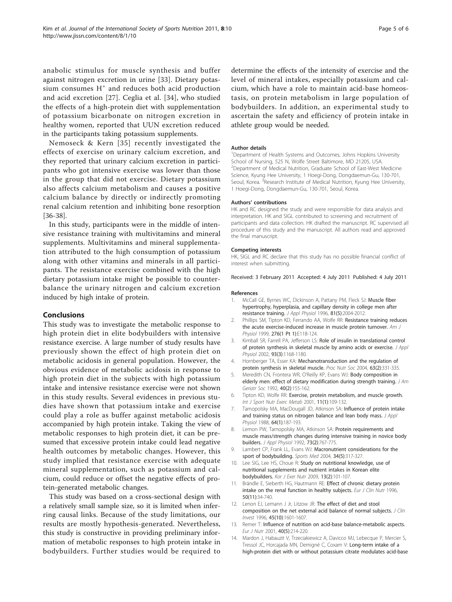<span id="page-4-0"></span>anabolic stimulus for muscle synthesis and buffer against nitrogen excretion in urine [\[33](#page-5-0)]. Dietary potassium consumes H<sup>+</sup> and reduces both acid production and acid excretion [[27\]](#page-5-0). Ceglia et al. [\[34\]](#page-5-0), who studied the effects of a high-protein diet with supplementation of potassium bicarbonate on nitrogen excretion in healthy women, reported that UUN excretion reduced in the participants taking potassium supplements.

Nemoseck & Kern [[35](#page-5-0)] recently investigated the effects of exercise on urinary calcium excretion, and they reported that urinary calcium excretion in participants who got intensive exercise was lower than those in the group that did not exercise. Dietary potassium also affects calcium metabolism and causes a positive calcium balance by directly or indirectly promoting renal calcium retention and inhibiting bone resorption [[36-38\]](#page-5-0).

In this study, participants were in the middle of intensive resistance training with multivitamins and mineral supplements. Multivitamins and mineral supplementation attributed to the high consumption of potassium along with other vitamins and minerals in all participants. The resistance exercise combined with the high dietary potassium intake might be possible to counterbalance the urinary nitrogen and calcium excretion induced by high intake of protein.

#### Conclusions

This study was to investigate the metabolic response to high protein diet in elite bodybuilders with intensive resistance exercise. A large number of study results have previously shown the effect of high protein diet on metabolic acidosis in general population. However, the obvious evidence of metabolic acidosis in response to high protein diet in the subjects with high potassium intake and intensive resistance exercise were not shown in this study results. Several evidences in previous studies have shown that potassium intake and exercise could play a role as buffer against metabolic acidosis accompanied by high protein intake. Taking the view of metabolic responses to high protein diet, it can be presumed that excessive protein intake could lead negative health outcomes by metabolic changes. However, this study implied that resistance exercise with adequate mineral supplementation, such as potassium and calcium, could reduce or offset the negative effects of protein-generated metabolic changes.

This study was based on a cross-sectional design with a relatively small sample size, so it is limited when inferring causal links. Because of the study limitations, our results are mostly hypothesis-generated. Nevertheless, this study is constructive in providing preliminary information of metabolic responses to high protein intake in bodybuilders. Further studies would be required to

determine the effects of the intensity of exercise and the level of mineral intakes, especially potassium and calcium, which have a role to maintain acid-base homeostasis, on protein metabolism in large population of bodybuilders. In addition, an experimental study to ascertain the safety and efficiency of protein intake in athlete group would be needed.

#### Author details

<sup>1</sup>Department of Health Systems and Outcomes, Johns Hopkins University School of Nursing, 525 N, Wolfe Street Baltimore, MD 21205, USA. <sup>2</sup>Department of Medical Nutrition, Graduate School of East-West Medicine Science, Kyung Hee University, 1 Hoegi-Dong, Dongdaemun-Gu, 130-701, Seoul, Korea. <sup>3</sup>Research Institute of Medical Nutrition, Kyung Hee University, 1 Hoegi-Dong, Dongdaemun-Gu, 130-701, Seoul, Korea.

#### Authors' contributions

HK and RC designed the study and were responsible for data analysis and interpretation. HK and SIGL contributed to screening and recruitment of participants and data collection. HK drafted the manuscript. RC supervised all procedure of this study and the manuscript. All authors read and approved the final manuscript.

#### Competing interests

HK, SIGL and RC declare that this study has no possible financial conflict of interest when submitting.

#### Received: 3 February 2011 Accepted: 4 July 2011 Published: 4 July 2011

#### References

- 1. McCall GE, Byrnes WC, Dickinson A, Pattany PM, Fleck SJ: [Muscle fiber](http://www.ncbi.nlm.nih.gov/pubmed/8941522?dopt=Abstract) [hypertrophy, hyperplasia, and capillary density in college men after](http://www.ncbi.nlm.nih.gov/pubmed/8941522?dopt=Abstract) [resistance training.](http://www.ncbi.nlm.nih.gov/pubmed/8941522?dopt=Abstract) J Appl Physiol 1996, 81(5):2004-2012.
- 2. Phillips SM, Tipton KD, Ferrando AA, Wolfe RR: [Resistance training reduces](http://www.ncbi.nlm.nih.gov/pubmed/9886957?dopt=Abstract) [the acute exercise-induced increase in muscle protein turnover.](http://www.ncbi.nlm.nih.gov/pubmed/9886957?dopt=Abstract) Am J Physiol 1999, 276(1 Pt 1):E118-124.
- 3. Kimball SR, Farrell PA, Jefferson LS: [Role of insulin in translational control](http://www.ncbi.nlm.nih.gov/pubmed/12183515?dopt=Abstract) [of protein synthesis in skeletal muscle by amino acids or exercise.](http://www.ncbi.nlm.nih.gov/pubmed/12183515?dopt=Abstract) J Appl Physiol 2002, 93(3):1168-1180.
- 4. Hornberger TA, Esser KA: [Mechanotransduction and the regulation of](http://www.ncbi.nlm.nih.gov/pubmed/15294051?dopt=Abstract) [protein synthesis in skeletal muscle.](http://www.ncbi.nlm.nih.gov/pubmed/15294051?dopt=Abstract) Proc Nutr Soc 2004, 63(2):331-335.
- 5. Meredith CN, Frontera WR, O'Reilly KP, Evans WJ: [Body composition in](http://www.ncbi.nlm.nih.gov/pubmed/1740600?dopt=Abstract) [elderly men: effect of dietary modification during strength training.](http://www.ncbi.nlm.nih.gov/pubmed/1740600?dopt=Abstract) J Am Geriatr Soc 1992, 40(2):155-162.
- 6. Tipton KD, Wolfe RR: [Exercise, protein metabolism, and muscle growth.](http://www.ncbi.nlm.nih.gov/pubmed/11255140?dopt=Abstract) Int J Sport Nutr Exerc Metab 2001, 11(1):109-132.
- 7. Tarnopolsky MA, MacDougall JD, Atkinson SA: [Influence of protein intake](http://www.ncbi.nlm.nih.gov/pubmed/3356636?dopt=Abstract) [and training status on nitrogen balance and lean body mass.](http://www.ncbi.nlm.nih.gov/pubmed/3356636?dopt=Abstract) J Appl Physiol 1988, 64(1):187-193.
- 8. Lemon PW, Tarnopolsky MA, Atkinson SA: [Protein requirements and](http://www.ncbi.nlm.nih.gov/pubmed/1400008?dopt=Abstract) [muscle mass/strength changes during intensive training in novice body](http://www.ncbi.nlm.nih.gov/pubmed/1400008?dopt=Abstract) [builders.](http://www.ncbi.nlm.nih.gov/pubmed/1400008?dopt=Abstract) J Appl Physiol 1992, 73(2):767-775.
- 9. Lambert CP, Frank LL, Evans WJ: [Macronutrient considerations for the](http://www.ncbi.nlm.nih.gov/pubmed/15107010?dopt=Abstract) [sport of bodybuilding.](http://www.ncbi.nlm.nih.gov/pubmed/15107010?dopt=Abstract) Sports Med 2004, 34(5):317-327.
- 10. Lee SIG, Lee HS, Choue R: Study on nutritional knowledge, use of nutritional supplements and nutrient intakes in Korean elite bodybuilders. Kor J Exer Nutr 2009, 13(2):101-107.
- 11. Brändle E, Sieberth HG, Hautmann RE: Effect of chronic dietary protein intake on the renal function in healthy subjects. Eur J Clin Nutr 1996, 50(11):34-740.
- 12. Lenon EJ, Lemann J Jr, Litzow JR: The effect of diet and stool composition on the net external acid balance of normal subjects. J Clin Invest 1996, 45(10):1601-1607.
- 13. Remer T: [Influence of nutrition on acid-base balance-metabolic aspects.](http://www.ncbi.nlm.nih.gov/pubmed/11842946?dopt=Abstract) Eur J Nutr 2001, 40(5):214-220.
- 14. Mardon J, Habauzit V, Trzeciakiewicz A, Davicco MJ, Lebecque P, Mercier S, Tressol JC, Horcajada MN, Demigné C, Coxam V: [Long-term intake of a](http://www.ncbi.nlm.nih.gov/pubmed/18356326?dopt=Abstract) [high-protein diet with or without potassium citrate modulates acid-base](http://www.ncbi.nlm.nih.gov/pubmed/18356326?dopt=Abstract)